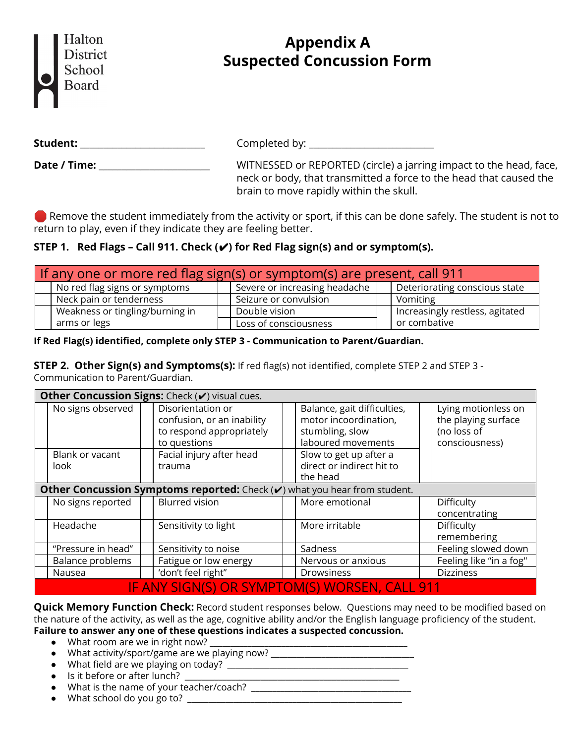| Halton   |
|----------|
| District |
| School   |
| Board    |
|          |

# **Appendix A Suspected Concussion Form**

**Student:** \_\_\_\_\_\_\_\_\_\_\_\_\_\_\_\_\_\_\_\_\_\_\_\_\_\_\_ Completed by: \_\_\_\_\_\_\_\_\_\_\_\_\_\_\_\_\_\_\_\_\_\_\_\_\_\_\_

**Date / Time:** \_\_\_\_\_\_\_\_\_\_\_\_\_\_\_\_\_\_\_\_\_\_\_\_\_\_\_\_\_WITNESSED or REPORTED (circle) a jarring impact to the head, face, neck or body, that transmitted a force to the head that caused the brain to move rapidly within the skull.

Remove the student immediately from the activity or sport, if this can be done safely. The student is not to return to play, even if they indicate they are feeling better.

## **STEP 1. Red Flags – Call 911. Check (**✔**) for Red Flag sign(s) and or symptom(s).**

| If any one or more red flag sign(s) or symptom(s) are present, call 911 |                                 |  |                               |  |                                 |  |  |  |  |  |
|-------------------------------------------------------------------------|---------------------------------|--|-------------------------------|--|---------------------------------|--|--|--|--|--|
|                                                                         | No red flag signs or symptoms   |  | Severe or increasing headache |  | Deteriorating conscious state   |  |  |  |  |  |
|                                                                         | Neck pain or tenderness         |  | Seizure or convulsion         |  | Vomiting                        |  |  |  |  |  |
|                                                                         | Weakness or tingling/burning in |  | Double vision                 |  | Increasingly restless, agitated |  |  |  |  |  |
|                                                                         | arms or legs                    |  | Loss of consciousness         |  | or combative                    |  |  |  |  |  |

## **If Red Flag(s) identified, complete only STEP 3 - Communication to Parent/Guardian.**

**STEP 2. Other Sign(s) and Symptoms(s):** If red flag(s) not identified, complete STEP 2 and STEP 3 - Communication to Parent/Guardian.

| Other Concussion Signs: Check (v) visual cues.                            |                                               |  |                                                                                             |  |                                                                                               |  |                                                                             |  |  |  |  |
|---------------------------------------------------------------------------|-----------------------------------------------|--|---------------------------------------------------------------------------------------------|--|-----------------------------------------------------------------------------------------------|--|-----------------------------------------------------------------------------|--|--|--|--|
|                                                                           | No signs observed                             |  | Disorientation or<br>confusion, or an inability<br>to respond appropriately<br>to questions |  | Balance, gait difficulties,<br>motor incoordination,<br>stumbling, slow<br>laboured movements |  | Lying motionless on<br>the playing surface<br>(no loss of<br>consciousness) |  |  |  |  |
|                                                                           | Blank or vacant<br>look                       |  | Facial injury after head<br>trauma                                                          |  | Slow to get up after a<br>direct or indirect hit to<br>the head                               |  |                                                                             |  |  |  |  |
| Other Concussion Symptoms reported: Check (v) what you hear from student. |                                               |  |                                                                                             |  |                                                                                               |  |                                                                             |  |  |  |  |
|                                                                           | No signs reported                             |  | <b>Blurred vision</b>                                                                       |  | More emotional                                                                                |  | Difficulty<br>concentrating                                                 |  |  |  |  |
|                                                                           | Headache                                      |  | Sensitivity to light                                                                        |  | More irritable                                                                                |  | Difficulty<br>remembering                                                   |  |  |  |  |
|                                                                           | "Pressure in head"                            |  | Sensitivity to noise                                                                        |  | Sadness                                                                                       |  | Feeling slowed down                                                         |  |  |  |  |
|                                                                           | Balance problems                              |  | Fatigue or low energy                                                                       |  | Nervous or anxious                                                                            |  | Feeling like "in a fog"                                                     |  |  |  |  |
|                                                                           | Nausea                                        |  | 'don't feel right"                                                                          |  | Drowsiness                                                                                    |  | <b>Dizziness</b>                                                            |  |  |  |  |
|                                                                           | IF ANY SIGN(S) OR SYMPTOM(S) WORSEN, CALL 911 |  |                                                                                             |  |                                                                                               |  |                                                                             |  |  |  |  |

**Quick Memory Function Check:** Record student responses below. Questions may need to be modified based on the nature of the activity, as well as the age, cognitive ability and/or the English language proficiency of the student. **Failure to answer any one of these questions indicates a suspected concussion.**

- What room are we in right now? \_\_\_\_\_\_\_\_\_\_\_\_\_\_\_\_\_\_\_\_\_\_\_\_\_\_\_\_\_\_\_\_\_\_\_\_\_\_\_\_\_\_\_\_\_\_\_
- What activity/sport/game are we playing now? \_\_\_\_\_\_\_\_\_\_\_\_\_\_\_\_\_\_\_\_\_\_\_\_\_\_\_\_\_\_\_\_\_
- What field are we playing on today? \_\_\_\_\_\_\_\_\_\_\_\_\_\_\_\_\_\_\_\_\_\_\_\_\_\_\_\_\_\_\_\_\_\_\_\_\_\_\_\_\_\_\_
- Is it before or after lunch? \_\_\_\_\_\_\_\_\_\_\_\_\_\_\_\_\_\_\_\_\_\_\_\_\_\_\_\_\_\_\_\_\_\_\_\_\_\_\_\_\_\_\_\_\_\_\_\_\_\_\_
- What is the name of your teacher/coach? \_\_\_\_\_\_\_\_\_\_\_\_\_\_\_\_\_\_\_\_\_\_\_\_\_\_\_\_\_\_\_\_\_\_\_\_\_\_
- $\bullet$  What school do you go to?